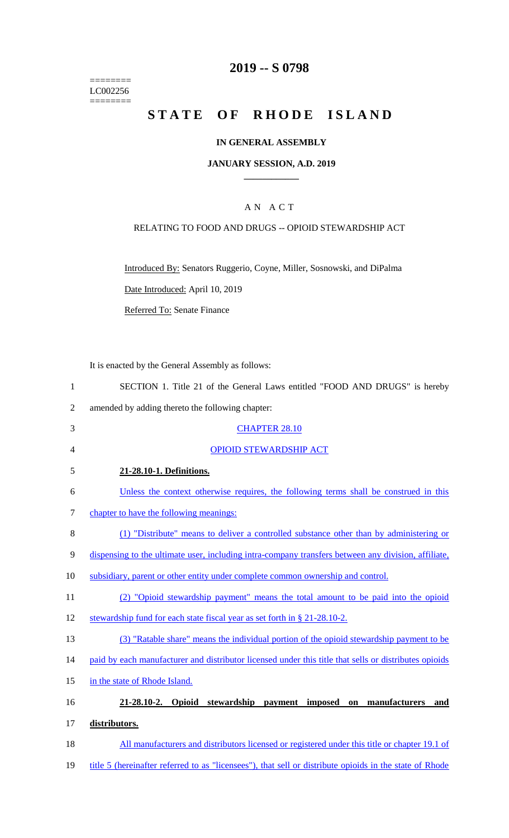======== LC002256  $=$ 

# **2019 -- S 0798**

# STATE OF RHODE ISLAND

## **IN GENERAL ASSEMBLY**

## **JANUARY SESSION, A.D. 2019 \_\_\_\_\_\_\_\_\_\_\_\_**

## A N A C T

## RELATING TO FOOD AND DRUGS -- OPIOID STEWARDSHIP ACT

Introduced By: Senators Ruggerio, Coyne, Miller, Sosnowski, and DiPalma

Date Introduced: April 10, 2019

Referred To: Senate Finance

It is enacted by the General Assembly as follows:

| SECTION 1. Title 21 of the General Laws entitled "FOOD AND DRUGS" is hereby |
|-----------------------------------------------------------------------------|
| amended by adding thereto the following chapter:                            |

| 3      | <b>CHAPTER 28.10</b>                                                                                    |
|--------|---------------------------------------------------------------------------------------------------------|
| 4      | <b>OPIOID STEWARDSHIP ACT</b>                                                                           |
| 5      | 21-28.10-1. Definitions.                                                                                |
| 6      | Unless the context otherwise requires, the following terms shall be construed in this                   |
| $\tau$ | chapter to have the following meanings:                                                                 |
| $8\,$  | (1) "Distribute" means to deliver a controlled substance other than by administering or                 |
| 9      | dispensing to the ultimate user, including intra-company transfers between any division, affiliate,     |
| 10     | subsidiary, parent or other entity under complete common ownership and control.                         |
| 11     | (2) "Opioid stewardship payment" means the total amount to be paid into the opioid                      |
| 12     | stewardship fund for each state fiscal year as set forth in § 21-28.10-2.                               |
| 13     | (3) "Ratable share" means the individual portion of the opioid stewardship payment to be                |
| 14     | paid by each manufacturer and distributor licensed under this title that sells or distributes opioids   |
| 15     | in the state of Rhode Island.                                                                           |
| 16     | 21-28.10-2. Opioid<br>stewardship<br>payment imposed<br>manufacturers<br>on<br>and                      |
| 17     | distributors.                                                                                           |
| 18     | All manufacturers and distributors licensed or registered under this title or chapter 19.1 of           |
| 19     | title 5 (hereinafter referred to as "licensees"), that sell or distribute opioids in the state of Rhode |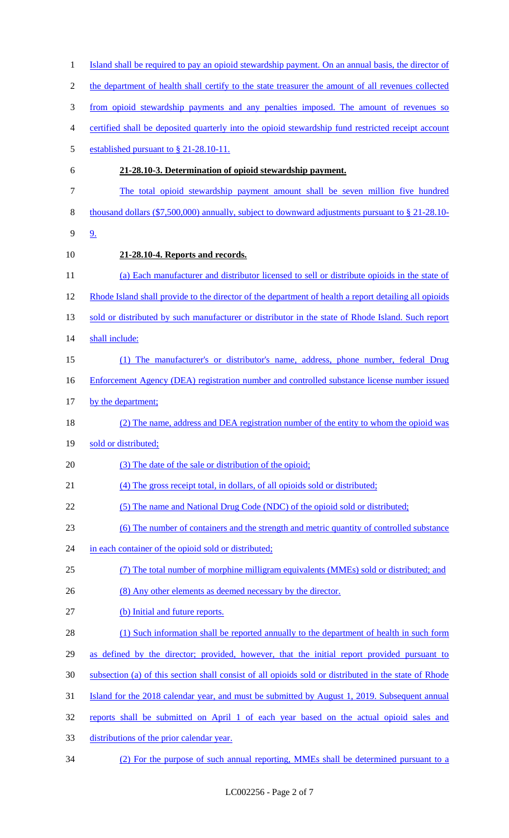| $\mathbf{1}$   | Island shall be required to pay an opioid stewardship payment. On an annual basis, the director of          |
|----------------|-------------------------------------------------------------------------------------------------------------|
| $\overline{2}$ | the department of health shall certify to the state treasurer the amount of all revenues collected          |
| 3              | from opioid stewardship payments and any penalties imposed. The amount of revenues so                       |
| 4              | certified shall be deposited quarterly into the opioid stewardship fund restricted receipt account          |
| 5              | established pursuant to $\S$ 21-28.10-11.                                                                   |
| 6              | 21-28.10-3. Determination of opioid stewardship payment.                                                    |
| 7              | The total opioid stewardship payment amount shall be seven million five hundred                             |
| 8              | thousand dollars $(\text{$}7,500,000)$ annually, subject to downward adjustments pursuant to $\S$ 21-28.10- |
| 9              | <u>9.</u>                                                                                                   |
| 10             | 21-28.10-4. Reports and records.                                                                            |
| 11             | (a) Each manufacturer and distributor licensed to sell or distribute opioids in the state of                |
| 12             | Rhode Island shall provide to the director of the department of health a report detailing all opioids       |
| 13             | sold or distributed by such manufacturer or distributor in the state of Rhode Island. Such report           |
| 14             | shall include:                                                                                              |
| 15             | (1) The manufacturer's or distributor's name, address, phone number, federal Drug                           |
| 16             | Enforcement Agency (DEA) registration number and controlled substance license number issued                 |
| 17             | by the department;                                                                                          |
| 18             | (2) The name, address and DEA registration number of the entity to whom the opioid was                      |
| 19             | sold or distributed;                                                                                        |
| 20             | (3) The date of the sale or distribution of the opioid;                                                     |
| 21             | (4) The gross receipt total, in dollars, of all opioids sold or distributed;                                |
| 22             | (5) The name and National Drug Code (NDC) of the opioid sold or distributed;                                |
| 23             | (6) The number of containers and the strength and metric quantity of controlled substance                   |
| 24             | in each container of the opioid sold or distributed;                                                        |
| 25             | (7) The total number of morphine milligram equivalents (MMEs) sold or distributed; and                      |
| 26             | (8) Any other elements as deemed necessary by the director.                                                 |
| 27             | (b) Initial and future reports.                                                                             |
| 28             | (1) Such information shall be reported annually to the department of health in such form                    |
| 29             | as defined by the director; provided, however, that the initial report provided pursuant to                 |
| 30             | subsection (a) of this section shall consist of all opioids sold or distributed in the state of Rhode       |
| 31             | Island for the 2018 calendar year, and must be submitted by August 1, 2019. Subsequent annual               |
| 32             | reports shall be submitted on April 1 of each year based on the actual opioid sales and                     |
| 33             | distributions of the prior calendar year.                                                                   |
| 34             | (2) For the purpose of such annual reporting, MMEs shall be determined pursuant to a                        |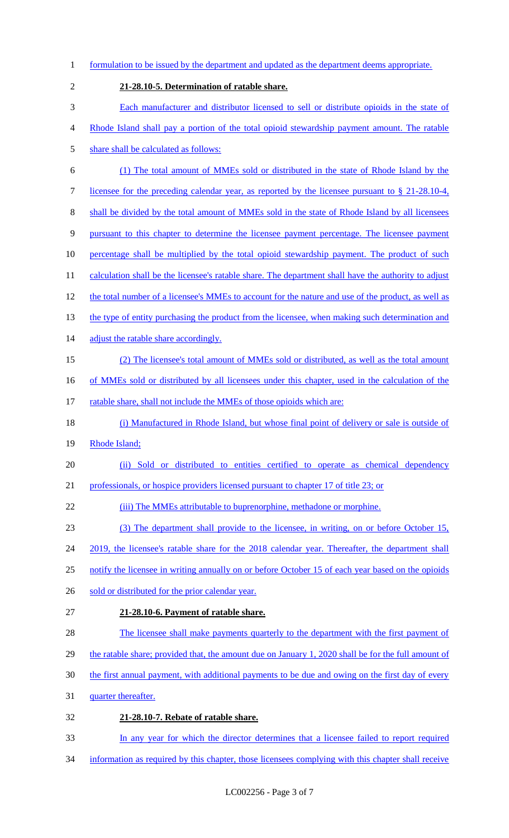1 formulation to be issued by the department and updated as the department deems appropriate. 2 **21-28.10-5. Determination of ratable share.**  3 Each manufacturer and distributor licensed to sell or distribute opioids in the state of 4 Rhode Island shall pay a portion of the total opioid stewardship payment amount. The ratable 5 share shall be calculated as follows: 6 (1) The total amount of MMEs sold or distributed in the state of Rhode Island by the 7 licensee for the preceding calendar year, as reported by the licensee pursuant to § 21-28.10-4, 8 shall be divided by the total amount of MMEs sold in the state of Rhode Island by all licensees 9 pursuant to this chapter to determine the licensee payment percentage. The licensee payment 10 percentage shall be multiplied by the total opioid stewardship payment. The product of such 11 calculation shall be the licensee's ratable share. The department shall have the authority to adjust 12 the total number of a licensee's MMEs to account for the nature and use of the product, as well as 13 the type of entity purchasing the product from the licensee, when making such determination and 14 adjust the ratable share accordingly. 15 (2) The licensee's total amount of MMEs sold or distributed, as well as the total amount 16 of MMEs sold or distributed by all licensees under this chapter, used in the calculation of the 17 ratable share, shall not include the MMEs of those opioids which are: 18 (i) Manufactured in Rhode Island, but whose final point of delivery or sale is outside of 19 Rhode Island; 20 (ii) Sold or distributed to entities certified to operate as chemical dependency 21 professionals, or hospice providers licensed pursuant to chapter 17 of title 23; or 22 (iii) The MMEs attributable to buprenorphine, methadone or morphine. 23 (3) The department shall provide to the licensee, in writing, on or before October 15, 24 2019, the licensee's ratable share for the 2018 calendar year. Thereafter, the department shall 25 notify the licensee in writing annually on or before October 15 of each year based on the opioids 26 sold or distributed for the prior calendar year. 27 **21-28.10-6. Payment of ratable share.**  28 The licensee shall make payments quarterly to the department with the first payment of 29 the ratable share; provided that, the amount due on January 1, 2020 shall be for the full amount of 30 the first annual payment, with additional payments to be due and owing on the first day of every 31 quarter thereafter. 32 **21-28.10-7. Rebate of ratable share.**  33 In any year for which the director determines that a licensee failed to report required 34 information as required by this chapter, those licensees complying with this chapter shall receive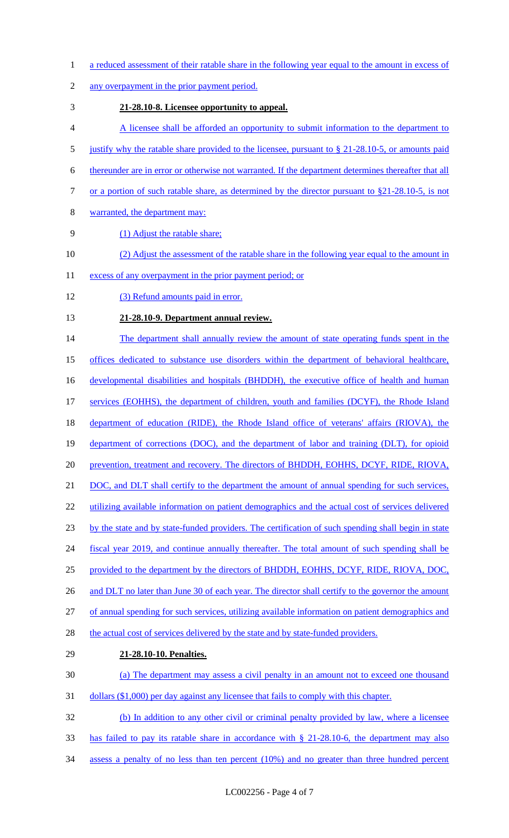- 1 a reduced assessment of their ratable share in the following year equal to the amount in excess of
- any overpayment in the prior payment period.
- **21-28.10-8. Licensee opportunity to appeal.**
- A licensee shall be afforded an opportunity to submit information to the department to
- 5 justify why the ratable share provided to the licensee, pursuant to § 21-28.10-5, or amounts paid
- thereunder are in error or otherwise not warranted. If the department determines thereafter that all
- 7 or a portion of such ratable share, as determined by the director pursuant to §21-28.10-5, is not
- warranted, the department may:
- (1) Adjust the ratable share;
- (2) Adjust the assessment of the ratable share in the following year equal to the amount in
- 11 excess of any overpayment in the prior payment period; or
- (3) Refund amounts paid in error.
- **21-28.10-9. Department annual review.**
- 14 The department shall annually review the amount of state operating funds spent in the
- offices dedicated to substance use disorders within the department of behavioral healthcare,

16 developmental disabilities and hospitals (BHDDH), the executive office of health and human

- 17 services (EOHHS), the department of children, youth and families (DCYF), the Rhode Island
- department of education (RIDE), the Rhode Island office of veterans' affairs (RIOVA), the
- 19 department of corrections (DOC), and the department of labor and training (DLT), for opioid
- prevention, treatment and recovery. The directors of BHDDH, EOHHS, DCYF, RIDE, RIOVA,
- 21 DOC, and DLT shall certify to the department the amount of annual spending for such services,
- 22 utilizing available information on patient demographics and the actual cost of services delivered
- by the state and by state-funded providers. The certification of such spending shall begin in state
- fiscal year 2019, and continue annually thereafter. The total amount of such spending shall be
- provided to the department by the directors of BHDDH, EOHHS, DCYF, RIDE, RIOVA, DOC,
- 26 and DLT no later than June 30 of each year. The director shall certify to the governor the amount
- of annual spending for such services, utilizing available information on patient demographics and
- 28 the actual cost of services delivered by the state and by state-funded providers.
- **21-28.10-10. Penalties.**
- (a) The department may assess a civil penalty in an amount not to exceed one thousand
- dollars (\$1,000) per day against any licensee that fails to comply with this chapter.
- (b) In addition to any other civil or criminal penalty provided by law, where a licensee
- has failed to pay its ratable share in accordance with § 21-28.10-6, the department may also
- assess a penalty of no less than ten percent (10%) and no greater than three hundred percent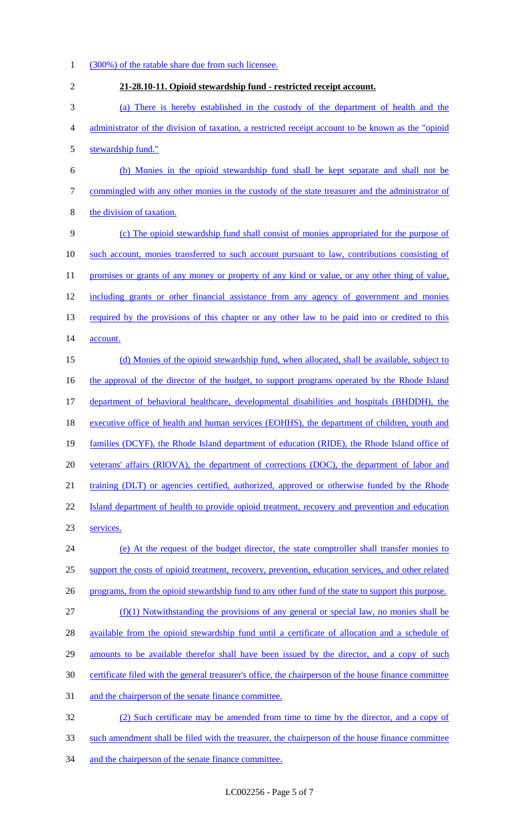- 1 (300%) of the ratable share due from such licensee. 2 **21-28.10-11. Opioid stewardship fund - restricted receipt account.**  3 (a) There is hereby established in the custody of the department of health and the 4 administrator of the division of taxation, a restricted receipt account to be known as the "opioid 5 stewardship fund." 6 (b) Monies in the opioid stewardship fund shall be kept separate and shall not be 7 commingled with any other monies in the custody of the state treasurer and the administrator of 8 the division of taxation. 9 (c) The opioid stewardship fund shall consist of monies appropriated for the purpose of 10 such account, monies transferred to such account pursuant to law, contributions consisting of 11 promises or grants of any money or property of any kind or value, or any other thing of value, 12 including grants or other financial assistance from any agency of government and monies 13 required by the provisions of this chapter or any other law to be paid into or credited to this 14 account. 15 (d) Monies of the opioid stewardship fund, when allocated, shall be available, subject to 16 the approval of the director of the budget, to support programs operated by the Rhode Island 17 department of behavioral healthcare, developmental disabilities and hospitals (BHDDH), the 18 executive office of health and human services (EOHHS), the department of children, youth and 19 families (DCYF), the Rhode Island department of education (RIDE), the Rhode Island office of 20 veterans' affairs (RIOVA), the department of corrections (DOC), the department of labor and 21 training (DLT) or agencies certified, authorized, approved or otherwise funded by the Rhode 22 Island department of health to provide opioid treatment, recovery and prevention and education 23 services. 24 (e) At the request of the budget director, the state comptroller shall transfer monies to 25 support the costs of opioid treatment, recovery, prevention, education services, and other related 26 programs, from the opioid stewardship fund to any other fund of the state to support this purpose. 27 (f)(1) Notwithstanding the provisions of any general or special law, no monies shall be 28 available from the opioid stewardship fund until a certificate of allocation and a schedule of 29 amounts to be available therefor shall have been issued by the director, and a copy of such 30 certificate filed with the general treasurer's office, the chairperson of the house finance committee 31 and the chairperson of the senate finance committee. 32 (2) Such certificate may be amended from time to time by the director, and a copy of 33 such amendment shall be filed with the treasurer, the chairperson of the house finance committee 34 and the chairperson of the senate finance committee.
	- LC002256 Page 5 of 7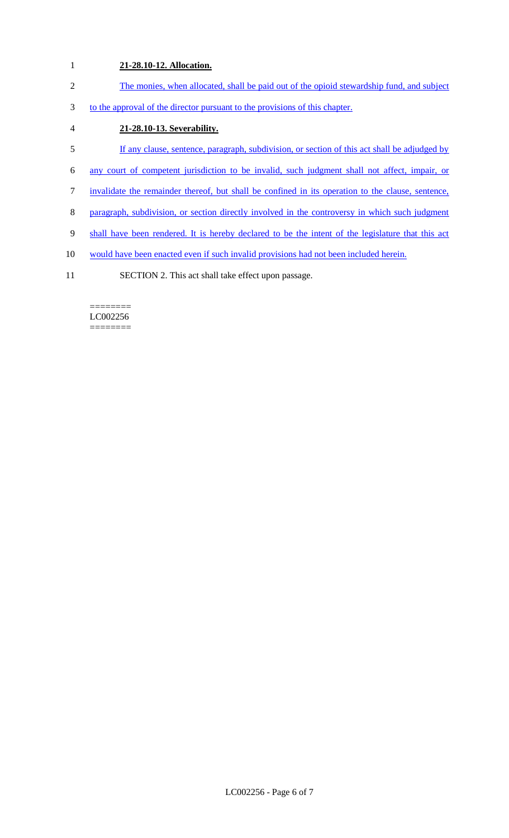# 1 **21-28.10-12. Allocation.**

- 2 The monies, when allocated, shall be paid out of the opioid stewardship fund, and subject
- 3 to the approval of the director pursuant to the provisions of this chapter.
- 4 **21-28.10-13. Severability.**
- 5 If any clause, sentence, paragraph, subdivision, or section of this act shall be adjudged by
- 6 any court of competent jurisdiction to be invalid, such judgment shall not affect, impair, or
- 7 invalidate the remainder thereof, but shall be confined in its operation to the clause, sentence,
- 8 paragraph, subdivision, or section directly involved in the controversy in which such judgment
- 9 shall have been rendered. It is hereby declared to be the intent of the legislature that this act
- 10 would have been enacted even if such invalid provisions had not been included herein.
- 11 SECTION 2. This act shall take effect upon passage.

#### ======== LC002256 ========